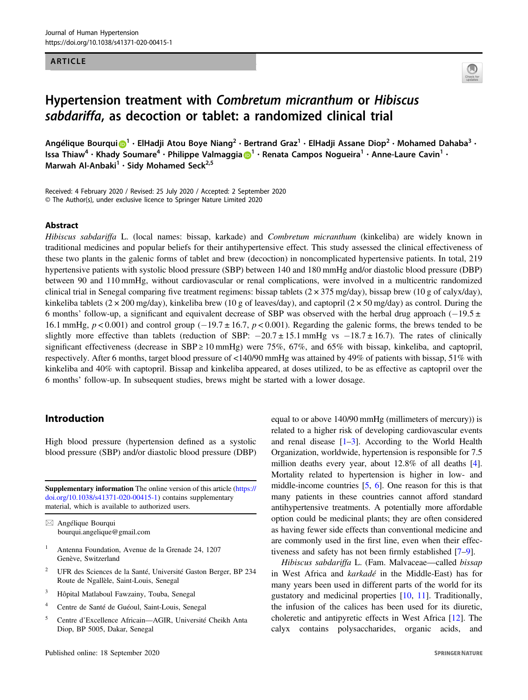#### ARTICLE



# Hypertension treatment with Combretum micranthum or Hibiscus sabdariffa, as decoction or tablet: a randomized clinical trial

Angélique Bourqui  $\bigcirc^{1} \cdot$  $\bigcirc^{1} \cdot$  $\bigcirc^{1} \cdot$  ElHadji Atou Boye Niang<sup>2</sup> • Bertrand Graz<sup>1</sup> • ElHadji Assane Diop<sup>2</sup> • Mohamed Dahaba<sup>3</sup> • Issa Thiaw<sup>4</sup> • Khady Soumare<sup>4</sup> • Philippe Valmaggia D<sup>[1](http://orcid.org/0000-0003-2817-5630)</sup> • Renata Campos Nogueira<sup>1</sup> • Anne-Laure Cavin<sup>1</sup> • Marwah Al-Anbaki<sup>1</sup> · Sidy Mohamed Seck<sup>2,5</sup>

Received: 4 February 2020 / Revised: 25 July 2020 / Accepted: 2 September 2020 © The Author(s), under exclusive licence to Springer Nature Limited 2020

#### Abstract

Hibiscus sabdariffa L. (local names: bissap, karkade) and Combretum micranthum (kinkeliba) are widely known in traditional medicines and popular beliefs for their antihypertensive effect. This study assessed the clinical effectiveness of these two plants in the galenic forms of tablet and brew (decoction) in noncomplicated hypertensive patients. In total, 219 hypertensive patients with systolic blood pressure (SBP) between 140 and 180 mmHg and/or diastolic blood pressure (DBP) between 90 and 110 mmHg, without cardiovascular or renal complications, were involved in a multicentric randomized clinical trial in Senegal comparing five treatment regimens: bissap tablets  $(2 \times 375 \text{ mg/day})$ , bissap brew  $(10 \text{ g of calyx/day})$ , kinkeliba tablets ( $2 \times 200$  mg/day), kinkeliba brew (10 g of leaves/day), and captopril ( $2 \times 50$  mg/day) as control. During the 6 months' follow-up, a significant and equivalent decrease of SBP was observed with the herbal drug approach  $(-19.5 \pm 10^{-19})$ 16.1 mmHg,  $p < 0.001$ ) and control group (-19.7 ± 16.7,  $p < 0.001$ ). Regarding the galenic forms, the brews tended to be slightly more effective than tablets (reduction of SBP:  $-20.7 \pm 15.1$  mmHg vs  $-18.7 \pm 16.7$ ). The rates of clinically significant effectiveness (decrease in SBP  $\geq$  10 mmHg) were 75%, 67%, and 65% with bissap, kinkeliba, and captopril, respectively. After 6 months, target blood pressure of <140/90 mmHg was attained by 49% of patients with bissap, 51% with kinkeliba and 40% with captopril. Bissap and kinkeliba appeared, at doses utilized, to be as effective as captopril over the 6 months' follow-up. In subsequent studies, brews might be started with a lower dosage.

# Introduction

High blood pressure (hypertension defined as a systolic blood pressure (SBP) and/or diastolic blood pressure (DBP)

Supplementary information The online version of this article ([https://](https://doi.org/10.1038/s41371-020-00415-1) [doi.org/10.1038/s41371-020-00415-1\)](https://doi.org/10.1038/s41371-020-00415-1) contains supplementary material, which is available to authorized users.

 $\boxtimes$  Angélique Bourqui [bourqui.angelique@gmail.com](mailto:bourqui.angelique@gmail.com)

- <sup>1</sup> Antenna Foundation, Avenue de la Grenade 24, 1207 Genève, Switzerland
- <sup>2</sup> UFR des Sciences de la Santé, Université Gaston Berger, BP 234 Route de Ngallèle, Saint-Louis, Senegal
- <sup>3</sup> Hôpital Matlaboul Fawzainy, Touba, Senegal
- <sup>4</sup> Centre de Santé de Guéoul, Saint-Louis, Senegal
- <sup>5</sup> Centre d'Excellence Africain—AGIR, Université Cheikh Anta Diop, BP 5005, Dakar, Senegal

Published online: 18 September 2020

equal to or above 140/90 mmHg (millimeters of mercury)) is related to a higher risk of developing cardiovascular events and renal disease  $[1-3]$  $[1-3]$  $[1-3]$  $[1-3]$ . According to the World Health Organization, worldwide, hypertension is responsible for 7.5 million deaths every year, about 12.8% of all deaths [[4\]](#page-7-0). Mortality related to hypertension is higher in low- and middle-income countries [[5,](#page-7-0) [6\]](#page-7-0). One reason for this is that many patients in these countries cannot afford standard antihypertensive treatments. A potentially more affordable option could be medicinal plants; they are often considered as having fewer side effects than conventional medicine and are commonly used in the first line, even when their effectiveness and safety has not been firmly established [\[7](#page-7-0)–[9\]](#page-7-0).

Hibiscus sabdariffa L. (Fam. Malvaceae—called bissap in West Africa and karkadé in the Middle-East) has for many years been used in different parts of the world for its gustatory and medicinal properties [\[10](#page-7-0), [11\]](#page-7-0). Traditionally, the infusion of the calices has been used for its diuretic, choleretic and antipyretic effects in West Africa [\[12](#page-7-0)]. The calyx contains polysaccharides, organic acids, and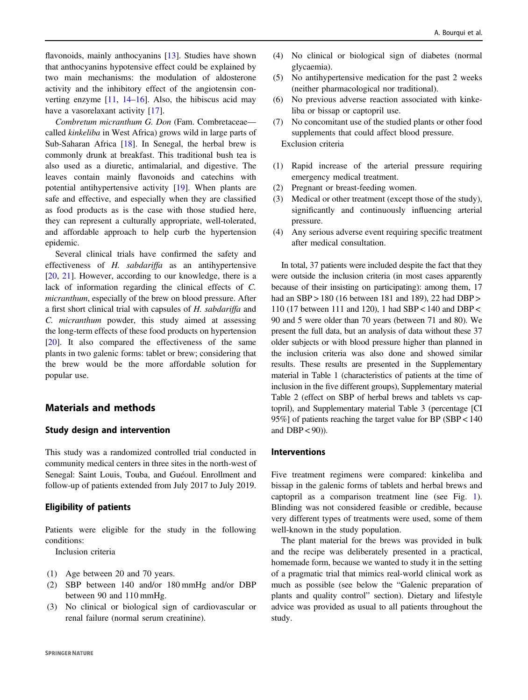flavonoids, mainly anthocyanins [[13\]](#page-7-0). Studies have shown that anthocyanins hypotensive effect could be explained by two main mechanisms: the modulation of aldosterone activity and the inhibitory effect of the angiotensin converting enzyme  $[11, 14-16]$  $[11, 14-16]$  $[11, 14-16]$  $[11, 14-16]$  $[11, 14-16]$  $[11, 14-16]$ . Also, the hibiscus acid may have a vasorelaxant activity [\[17](#page-7-0)].

Combretum micranthum G. Don (Fam. Combretaceae called kinkeliba in West Africa) grows wild in large parts of Sub-Saharan Africa [\[18](#page-7-0)]. In Senegal, the herbal brew is commonly drunk at breakfast. This traditional bush tea is also used as a diuretic, antimalarial, and digestive. The leaves contain mainly flavonoids and catechins with potential antihypertensive activity [[19\]](#page-8-0). When plants are safe and effective, and especially when they are classified as food products as is the case with those studied here, they can represent a culturally appropriate, well-tolerated, and affordable approach to help curb the hypertension epidemic.

Several clinical trials have confirmed the safety and effectiveness of H. sabdariffa as an antihypertensive [\[20](#page-8-0), [21](#page-8-0)]. However, according to our knowledge, there is a lack of information regarding the clinical effects of C. micranthum, especially of the brew on blood pressure. After a first short clinical trial with capsules of H. sabdariffa and C. micranthum powder, this study aimed at assessing the long-term effects of these food products on hypertension [\[20](#page-8-0)]. It also compared the effectiveness of the same plants in two galenic forms: tablet or brew; considering that the brew would be the more affordable solution for popular use.

# Materials and methods

# Study design and intervention

This study was a randomized controlled trial conducted in community medical centers in three sites in the north-west of Senegal: Saint Louis, Touba, and Guéoul. Enrollment and follow-up of patients extended from July 2017 to July 2019.

# Eligibility of patients

Patients were eligible for the study in the following conditions:

Inclusion criteria

- (1) Age between 20 and 70 years.
- (2) SBP between 140 and/or 180 mmHg and/or DBP between 90 and 110 mmHg.
- (3) No clinical or biological sign of cardiovascular or renal failure (normal serum creatinine).
- (4) No clinical or biological sign of diabetes (normal glycaemia).
- (5) No antihypertensive medication for the past 2 weeks (neither pharmacological nor traditional).
- (6) No previous adverse reaction associated with kinkeliba or bissap or captopril use.
- (7) No concomitant use of the studied plants or other food supplements that could affect blood pressure. Exclusion criteria
- 
- (1) Rapid increase of the arterial pressure requiring emergency medical treatment.
- (2) Pregnant or breast-feeding women.
- (3) Medical or other treatment (except those of the study), significantly and continuously influencing arterial pressure.
- (4) Any serious adverse event requiring specific treatment after medical consultation.

In total, 37 patients were included despite the fact that they were outside the inclusion criteria (in most cases apparently because of their insisting on participating): among them, 17 had an SBP > 180 (16 between 181 and 189), 22 had DBP > 110 (17 between 111 and 120), 1 had SBP < 140 and DBP < 90 and 5 were older than 70 years (between 71 and 80). We present the full data, but an analysis of data without these 37 older subjects or with blood pressure higher than planned in the inclusion criteria was also done and showed similar results. These results are presented in the Supplementary material in Table 1 (characteristics of patients at the time of inclusion in the five different groups), Supplementary material Table 2 (effect on SBP of herbal brews and tablets vs captopril), and Supplementary material Table 3 (percentage [CI 95%] of patients reaching the target value for BP (SBP < 140 and  $DBP < 90$ )).

#### Interventions

Five treatment regimens were compared: kinkeliba and bissap in the galenic forms of tablets and herbal brews and captopril as a comparison treatment line (see Fig. [1\)](#page-2-0). Blinding was not considered feasible or credible, because very different types of treatments were used, some of them well-known in the study population.

The plant material for the brews was provided in bulk and the recipe was deliberately presented in a practical, homemade form, because we wanted to study it in the setting of a pragmatic trial that mimics real-world clinical work as much as possible (see below the "Galenic preparation of plants and quality control" section). Dietary and lifestyle advice was provided as usual to all patients throughout the study.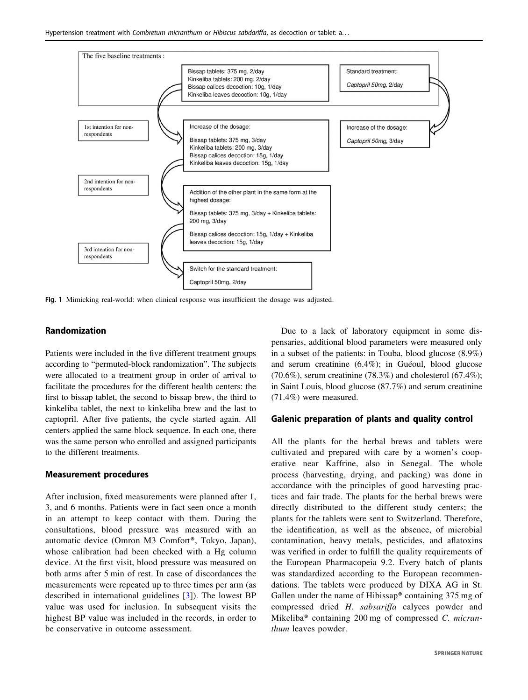<span id="page-2-0"></span>

Fig. 1 Mimicking real-world: when clinical response was insufficient the dosage was adjusted.

#### Randomization

Patients were included in the five different treatment groups according to "permuted-block randomization". The subjects were allocated to a treatment group in order of arrival to facilitate the procedures for the different health centers: the first to bissap tablet, the second to bissap brew, the third to kinkeliba tablet, the next to kinkeliba brew and the last to captopril. After five patients, the cycle started again. All centers applied the same block sequence. In each one, there was the same person who enrolled and assigned participants to the different treatments.

#### Measurement procedures

After inclusion, fixed measurements were planned after 1, 3, and 6 months. Patients were in fact seen once a month in an attempt to keep contact with them. During the consultations, blood pressure was measured with an automatic device (Omron M3 Comfort®, Tokyo, Japan), whose calibration had been checked with a Hg column device. At the first visit, blood pressure was measured on both arms after 5 min of rest. In case of discordances the measurements were repeated up to three times per arm (as described in international guidelines [\[3\]](#page-7-0)). The lowest BP value was used for inclusion. In subsequent visits the highest BP value was included in the records, in order to be conservative in outcome assessment.

Due to a lack of laboratory equipment in some dispensaries, additional blood parameters were measured only in a subset of the patients: in Touba, blood glucose (8.9%) and serum creatinine (6.4%); in Guéoul, blood glucose  $(70.6\%)$ , serum creatinine  $(78.3\%)$  and cholesterol  $(67.4\%)$ ; in Saint Louis, blood glucose (87.7%) and serum creatinine (71.4%) were measured.

# Galenic preparation of plants and quality control

All the plants for the herbal brews and tablets were cultivated and prepared with care by a women's cooperative near Kaffrine, also in Senegal. The whole process (harvesting, drying, and packing) was done in accordance with the principles of good harvesting practices and fair trade. The plants for the herbal brews were directly distributed to the different study centers; the plants for the tablets were sent to Switzerland. Therefore, the identification, as well as the absence, of microbial contamination, heavy metals, pesticides, and aflatoxins was verified in order to fulfill the quality requirements of the European Pharmacopeia 9.2. Every batch of plants was standardized according to the European recommendations. The tablets were produced by DIXA AG in St. Gallen under the name of Hibissap® containing 375 mg of compressed dried H. sabsariffa calyces powder and Mikeliba® containing 200 mg of compressed C. micranthum leaves powder.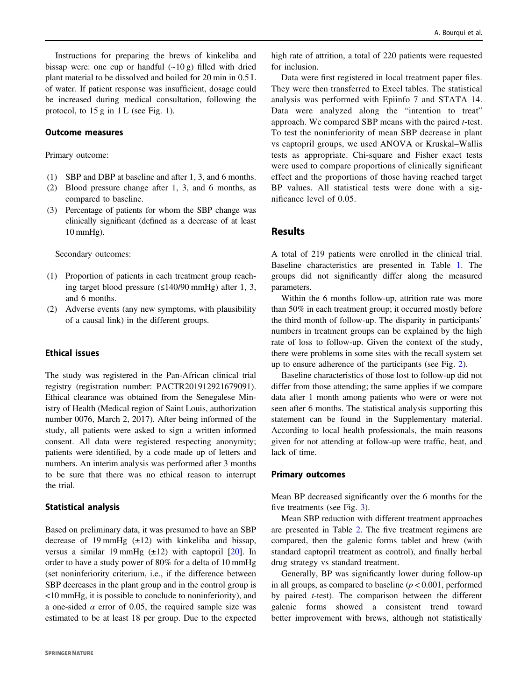Instructions for preparing the brews of kinkeliba and bissap were: one cup or handful  $(-10 g)$  filled with dried plant material to be dissolved and boiled for 20 min in 0.5 L of water. If patient response was insufficient, dosage could be increased during medical consultation, following the protocol, to  $15 g$  in  $1 L$  (see Fig. [1\)](#page-2-0).

#### Outcome measures

#### Primary outcome:

- (1) SBP and DBP at baseline and after 1, 3, and 6 months.
- (2) Blood pressure change after 1, 3, and 6 months, as compared to baseline.
- (3) Percentage of patients for whom the SBP change was clinically significant (defined as a decrease of at least 10 mmHg).

Secondary outcomes:

- (1) Proportion of patients in each treatment group reaching target blood pressure (≤140/90 mmHg) after 1, 3, and 6 months.
- (2) Adverse events (any new symptoms, with plausibility of a causal link) in the different groups.

# Ethical issues

The study was registered in the Pan-African clinical trial registry (registration number: PACTR201912921679091). Ethical clearance was obtained from the Senegalese Ministry of Health (Medical region of Saint Louis, authorization number 0076, March 2, 2017). After being informed of the study, all patients were asked to sign a written informed consent. All data were registered respecting anonymity; patients were identified, by a code made up of letters and numbers. An interim analysis was performed after 3 months to be sure that there was no ethical reason to interrupt the trial.

# Statistical analysis

Based on preliminary data, it was presumed to have an SBP decrease of 19 mmHg  $(\pm 12)$  with kinkeliba and bissap, versus a similar 19 mmHg  $(\pm 12)$  with captopril [\[20](#page-8-0)]. In order to have a study power of 80% for a delta of 10 mmHg (set noninferiority criterium, i.e., if the difference between SBP decreases in the plant group and in the control group is <10 mmHg, it is possible to conclude to noninferiority), and a one-sided  $\alpha$  error of 0.05, the required sample size was estimated to be at least 18 per group. Due to the expected high rate of attrition, a total of 220 patients were requested for inclusion.

Data were first registered in local treatment paper files. They were then transferred to Excel tables. The statistical analysis was performed with Epiinfo 7 and STATA 14. Data were analyzed along the "intention to treat" approach. We compared SBP means with the paired t-test. To test the noninferiority of mean SBP decrease in plant vs captopril groups, we used ANOVA or Kruskal–Wallis tests as appropriate. Chi-square and Fisher exact tests were used to compare proportions of clinically significant effect and the proportions of those having reached target BP values. All statistical tests were done with a significance level of 0.05.

# Results

A total of 219 patients were enrolled in the clinical trial. Baseline characteristics are presented in Table [1.](#page-4-0) The groups did not significantly differ along the measured parameters.

Within the 6 months follow-up, attrition rate was more than 50% in each treatment group; it occurred mostly before the third month of follow-up. The disparity in participants' numbers in treatment groups can be explained by the high rate of loss to follow-up. Given the context of the study, there were problems in some sites with the recall system set up to ensure adherence of the participants (see Fig. [2](#page-4-0)).

Baseline characteristics of those lost to follow-up did not differ from those attending; the same applies if we compare data after 1 month among patients who were or were not seen after 6 months. The statistical analysis supporting this statement can be found in the Supplementary material. According to local health professionals, the main reasons given for not attending at follow-up were traffic, heat, and lack of time.

#### Primary outcomes

Mean BP decreased significantly over the 6 months for the five treatments (see Fig. [3\)](#page-5-0).

Mean SBP reduction with different treatment approaches are presented in Table [2.](#page-5-0) The five treatment regimens are compared, then the galenic forms tablet and brew (with standard captopril treatment as control), and finally herbal drug strategy vs standard treatment.

Generally, BP was significantly lower during follow-up in all groups, as compared to baseline  $(p < 0.001$ , performed by paired t-test). The comparison between the different galenic forms showed a consistent trend toward better improvement with brews, although not statistically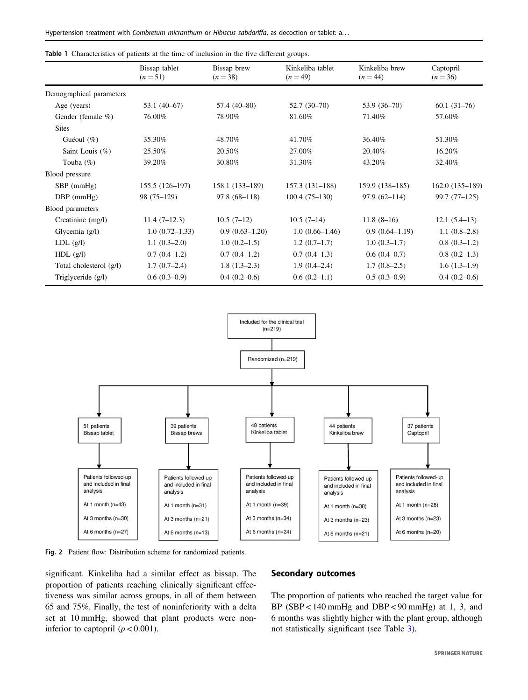|                          | Bissap tablet<br>Bissap brew<br>Kinkeliba tablet<br>Kinkeliba brew<br>Captopril |                  |                  |                    |                  |  |  |
|--------------------------|---------------------------------------------------------------------------------|------------------|------------------|--------------------|------------------|--|--|
|                          | $(n=51)$                                                                        | $(n=38)$         | $(n=49)$         | $(n = 44)$         | $(n=36)$         |  |  |
| Demographical parameters |                                                                                 |                  |                  |                    |                  |  |  |
| Age (years)              | $53.1(40-67)$                                                                   | 57.4 (40-80)     | $52.7(30-70)$    | 53.9 (36–70)       | $60.1(31-76)$    |  |  |
| Gender (female %)        | 76.00%                                                                          | 78.90%           | 81.60%           | 71.40%             | 57.60%           |  |  |
| <b>Sites</b>             |                                                                                 |                  |                  |                    |                  |  |  |
| Guéoul $(\%)$            | 35.30%                                                                          | 48.70%           | 41.70%           | 36.40%             | 51.30%           |  |  |
| Saint Louis $(\%)$       | 25.50%                                                                          | 20.50%           | 27.00%           | 20.40%             | 16.20%           |  |  |
| Touba $(\%)$             | 39.20%                                                                          | 30.80%           | 31.30%           | 43.20%             | 32.40%           |  |  |
| Blood pressure           |                                                                                 |                  |                  |                    |                  |  |  |
| $SBP$ (mmHg)             | $155.5(126-197)$                                                                | $158.1(133-189)$ | $157.3(131-188)$ | 159.9 (138-185)    | $162.0(135-189)$ |  |  |
| $DBP$ (mmHg)             | 98 (75-129)                                                                     | $97.8(68 - 118)$ | $100.4(75-130)$  | $97.9(62 - 114)$   | $99.7(77-125)$   |  |  |
| Blood parameters         |                                                                                 |                  |                  |                    |                  |  |  |
| Creatinine (mg/l)        | $11.4(7-12.3)$                                                                  | $10.5(7-12)$     | $10.5(7-14)$     | $11.8(8-16)$       | $12.1(5.4-13)$   |  |  |
| Glycemia $(g/l)$         | $1.0(0.72 - 1.33)$                                                              | $0.9(0.63-1.20)$ | $1.0(0.66-1.46)$ | $0.9(0.64 - 1.19)$ | $1.1(0.8-2.8)$   |  |  |
| $LDL$ $(g/l)$            | $1.1(0.3-2.0)$                                                                  | $1.0(0.2-1.5)$   | $1.2(0.7-1.7)$   | $1.0(0.3-1.7)$     | $0.8(0.3-1.2)$   |  |  |
| $HDL$ (g/l)              | $0.7(0.4-1.2)$                                                                  | $0.7(0.4-1.2)$   | $0.7(0.4-1.3)$   | $0.6(0.4-0.7)$     | $0.8(0.2-1.3)$   |  |  |
| Total cholesterol (g/l)  | $1.7(0.7-2.4)$                                                                  | $1.8(1.3-2.3)$   | $1.9(0.4-2.4)$   | $1.7(0.8-2.5)$     | $1.6(1.3-1.9)$   |  |  |
| Triglyceride (g/l)       | $0.6(0.3-0.9)$                                                                  | $0.4(0.2-0.6)$   | $0.6(0.2-1.1)$   | $0.5(0.3-0.9)$     | $0.4(0.2-0.6)$   |  |  |

<span id="page-4-0"></span>Table 1 Characteristics of patients at the time of inclusion in the five different groups.



Fig. 2 Patient flow: Distribution scheme for randomized patients.

significant. Kinkeliba had a similar effect as bissap. The proportion of patients reaching clinically significant effectiveness was similar across groups, in all of them between 65 and 75%. Finally, the test of noninferiority with a delta set at 10 mmHg, showed that plant products were noninferior to captopril  $(p < 0.001)$ .

#### Secondary outcomes

The proportion of patients who reached the target value for BP (SBP < 140 mmHg and DBP < 90 mmHg) at 1, 3, and 6 months was slightly higher with the plant group, although not statistically significant (see Table [3\)](#page-6-0).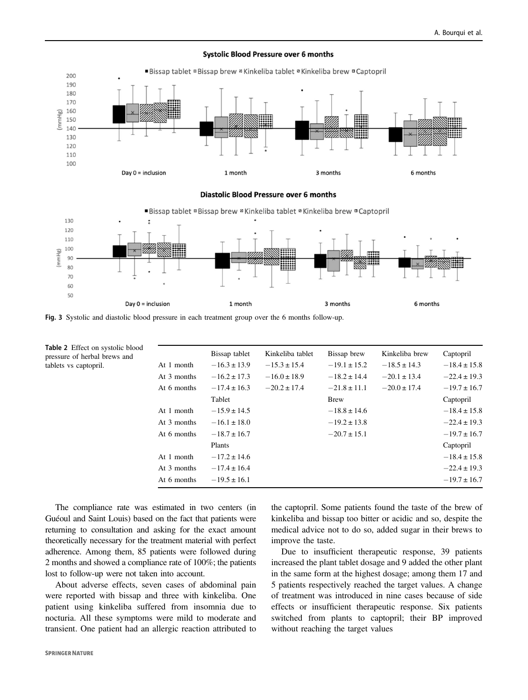6 months

<span id="page-5-0"></span>

#### **Systolic Blood Pressure over 6 months**

Fig. 3 Systolic and diastolic blood pressure in each treatment group over the 6 months follow-up.

1 month

Day  $0 =$  inclusion

|             | Bissap tablet    | Kinkeliba tablet | Bissap brew      | Kinkeliba brew   | Captopril        |
|-------------|------------------|------------------|------------------|------------------|------------------|
| At 1 month  | $-16.3 \pm 13.9$ | $-15.3 \pm 15.4$ | $-19.1 \pm 15.2$ | $-18.5 \pm 14.3$ | $-18.4 \pm 15.8$ |
| At 3 months | $-16.2 \pm 17.3$ | $-16.0 \pm 18.9$ | $-18.2 \pm 14.4$ | $-20.1 \pm 13.4$ | $-22.4 \pm 19.3$ |
| At 6 months | $-17.4 \pm 16.3$ | $-20.2 \pm 17.4$ | $-21.8 \pm 11.1$ | $-20.0 \pm 17.4$ | $-19.7 \pm 16.7$ |
|             | Tablet           |                  | <b>Brew</b>      |                  | Captopril        |
| At 1 month  | $-15.9 \pm 14.5$ |                  | $-18.8 \pm 14.6$ |                  | $-18.4 \pm 15.8$ |
| At 3 months | $-16.1 \pm 18.0$ |                  | $-19.2 \pm 13.8$ |                  | $-22.4 \pm 19.3$ |
| At 6 months | $-18.7 \pm 16.7$ |                  | $-20.7 \pm 15.1$ |                  | $-19.7 \pm 16.7$ |
|             | Plants           |                  |                  |                  | Captopril        |
| At 1 month  | $-17.2 \pm 14.6$ |                  |                  |                  | $-18.4 \pm 15.8$ |
| At 3 months | $-17.4 \pm 16.4$ |                  |                  |                  | $-22.4 \pm 19.3$ |
| At 6 months | $-19.5 \pm 16.1$ |                  |                  |                  | $-19.7 \pm 16.7$ |
|             |                  |                  |                  |                  |                  |

The compliance rate was estimated in two centers (in Guéoul and Saint Louis) based on the fact that patients were returning to consultation and asking for the exact amount theoretically necessary for the treatment material with perfect adherence. Among them, 85 patients were followed during 2 months and showed a compliance rate of 100%; the patients lost to follow-up were not taken into account.

About adverse effects, seven cases of abdominal pain were reported with bissap and three with kinkeliba. One patient using kinkeliba suffered from insomnia due to nocturia. All these symptoms were mild to moderate and transient. One patient had an allergic reaction attributed to

> the captopril. Some patients found the taste of the brew of kinkeliba and bissap too bitter or acidic and so, despite the medical advice not to do so, added sugar in their brews to improve the taste.

3 months

Due to insufficient therapeutic response, 39 patients increased the plant tablet dosage and 9 added the other plant in the same form at the highest dosage; among them 17 and 5 patients respectively reached the target values. A change of treatment was introduced in nine cases because of side effects or insufficient therapeutic response. Six patients switched from plants to captopril; their BP improved without reaching the target values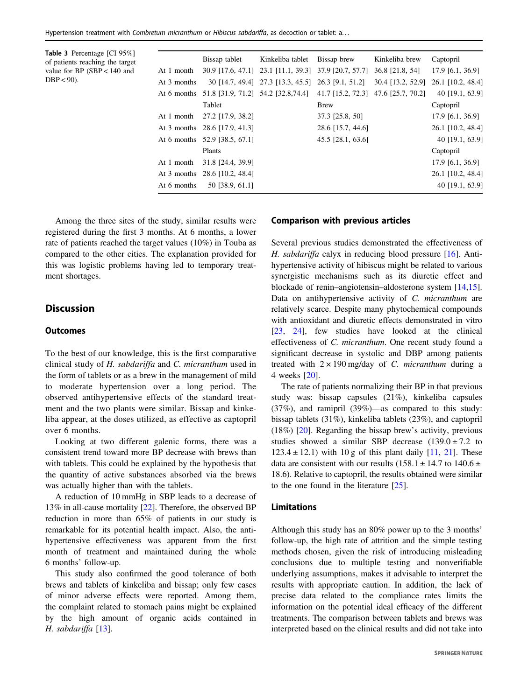<span id="page-6-0"></span>Hypertension treatment with Combretum micranthum or Hibiscus sabdariffa, as decoction or tablet: a...

Table 3 Percentage [CI 95%] of patients reaching the target value for BP (SBP < 140 and  $DBP < 90$ ).

|             | Bissap tablet                                                                      | Kinkeliba tablet | Bissap brew         | Kinkeliba brew                                                        | Captopril          |
|-------------|------------------------------------------------------------------------------------|------------------|---------------------|-----------------------------------------------------------------------|--------------------|
| At 1 month  |                                                                                    |                  |                     | 30.9 [17.6, 47.1] 23.1 [11.1, 39.3] 37.9 [20.7, 57.7] 36.8 [21.8, 54] | 17.9 [6.1, 36.9]   |
| At 3 months |                                                                                    |                  |                     | 30 [14.7, 49.4] 27.3 [13.3, 45.5] 26.3 [9.1, 51.2] 30.4 [13.2, 52.9]  | 26.1 [10.2, 48.4]  |
|             | At 6 months 51.8 [31.9, 71.2] 54.2 [32.8,74.4] 41.7 [15.2, 72.3] 47.6 [25.7, 70.2] |                  |                     |                                                                       | 40 [19.1, 63.9]    |
|             | Tablet                                                                             |                  | <b>Brew</b>         |                                                                       | Captopril          |
|             | At 1 month 27.2 [17.9, 38.2]                                                       |                  | 37.3 [25.8, 50]     |                                                                       | $17.9$ [6.1, 36.9] |
|             | At 3 months 28.6 [17.9, 41.3]                                                      |                  | 28.6 [15.7, 44.6]   |                                                                       | 26.1 [10.2, 48.4]  |
|             | At 6 months 52.9 [38.5, 67.1]                                                      |                  | $45.5$ [28.1, 63.6] |                                                                       | 40 [19.1, 63.9]    |
|             | Plants                                                                             |                  |                     |                                                                       | Captopril          |
|             | At 1 month 31.8 [24.4, 39.9]                                                       |                  |                     |                                                                       | 17.9 [6.1, 36.9]   |
|             | At 3 months 28.6 [10.2, 48.4]                                                      |                  |                     |                                                                       | 26.1 [10.2, 48.4]  |
| At 6 months | 50 [38.9, 61.1]                                                                    |                  |                     |                                                                       | 40 [19.1, 63.9]    |
|             |                                                                                    |                  |                     |                                                                       |                    |

Among the three sites of the study, similar results were registered during the first 3 months. At 6 months, a lower rate of patients reached the target values (10%) in Touba as compared to the other cities. The explanation provided for this was logistic problems having led to temporary treatment shortages.

# **Discussion**

#### **Outcomes**

To the best of our knowledge, this is the first comparative clinical study of H. sabdariffa and C. micranthum used in the form of tablets or as a brew in the management of mild to moderate hypertension over a long period. The observed antihypertensive effects of the standard treatment and the two plants were similar. Bissap and kinkeliba appear, at the doses utilized, as effective as captopril over 6 months.

Looking at two different galenic forms, there was a consistent trend toward more BP decrease with brews than with tablets. This could be explained by the hypothesis that the quantity of active substances absorbed via the brews was actually higher than with the tablets.

A reduction of 10 mmHg in SBP leads to a decrease of 13% in all-cause mortality [[22\]](#page-8-0). Therefore, the observed BP reduction in more than 65% of patients in our study is remarkable for its potential health impact. Also, the antihypertensive effectiveness was apparent from the first month of treatment and maintained during the whole 6 months' follow-up.

This study also confirmed the good tolerance of both brews and tablets of kinkeliba and bissap; only few cases of minor adverse effects were reported. Among them, the complaint related to stomach pains might be explained by the high amount of organic acids contained in H. sabdariffa [\[13](#page-7-0)].

#### Comparison with previous articles

Several previous studies demonstrated the effectiveness of H. sabdariffa calyx in reducing blood pressure [\[16](#page-7-0)]. Antihypertensive activity of hibiscus might be related to various synergistic mechanisms such as its diuretic effect and blockade of renin–angiotensin–aldosterone system [\[14](#page-7-0),[15\]](#page-7-0). Data on antihypertensive activity of C. micranthum are relatively scarce. Despite many phytochemical compounds with antioxidant and diuretic effects demonstrated in vitro [\[23](#page-8-0), [24\]](#page-8-0), few studies have looked at the clinical effectiveness of C. micranthum. One recent study found a significant decrease in systolic and DBP among patients treated with  $2 \times 190$  mg/day of C. *micranthum* during a 4 weeks [[20\]](#page-8-0).

The rate of patients normalizing their BP in that previous study was: bissap capsules (21%), kinkeliba capsules (37%), and ramipril (39%)—as compared to this study: bissap tablets (31%), kinkeliba tablets (23%), and captopril (18%) [\[20](#page-8-0)]. Regarding the bissap brew's activity, previous studies showed a similar SBP decrease  $(139.0 \pm 7.2)$  to  $123.4 \pm 12.1$ ) with 10 g of this plant daily [[11,](#page-7-0) [21](#page-8-0)]. These data are consistent with our results (158.1  $\pm$  14.7 to 140.6  $\pm$ 18.6). Relative to captopril, the results obtained were similar to the one found in the literature [\[25](#page-8-0)].

# Limitations

Although this study has an 80% power up to the 3 months' follow-up, the high rate of attrition and the simple testing methods chosen, given the risk of introducing misleading conclusions due to multiple testing and nonverifiable underlying assumptions, makes it advisable to interpret the results with appropriate caution. In addition, the lack of precise data related to the compliance rates limits the information on the potential ideal efficacy of the different treatments. The comparison between tablets and brews was interpreted based on the clinical results and did not take into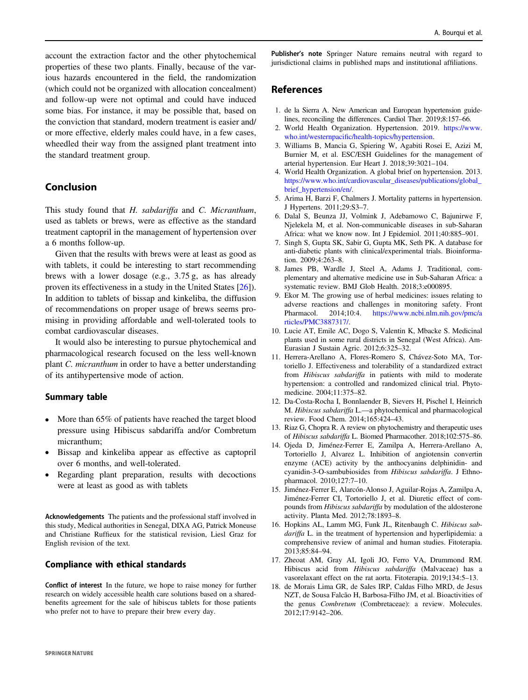<span id="page-7-0"></span>account the extraction factor and the other phytochemical properties of these two plants. Finally, because of the various hazards encountered in the field, the randomization (which could not be organized with allocation concealment) and follow-up were not optimal and could have induced some bias. For instance, it may be possible that, based on the conviction that standard, modern treatment is easier and/ or more effective, elderly males could have, in a few cases, wheedled their way from the assigned plant treatment into the standard treatment group.

# Conclusion

This study found that H. sabdariffa and C. Micranthum, used as tablets or brews, were as effective as the standard treatment captopril in the management of hypertension over a 6 months follow-up.

Given that the results with brews were at least as good as with tablets, it could be interesting to start recommending brews with a lower dosage (e.g., 3.75 g, as has already proven its effectiveness in a study in the United States [\[26](#page-8-0)]). In addition to tablets of bissap and kinkeliba, the diffusion of recommendations on proper usage of brews seems promising in providing affordable and well-tolerated tools to combat cardiovascular diseases.

It would also be interesting to pursue phytochemical and pharmacological research focused on the less well-known plant C. micranthum in order to have a better understanding of its antihypertensive mode of action.

# Summary table

- More than 65% of patients have reached the target blood pressure using Hibiscus sabdariffa and/or Combretum micranthum;
- Bissap and kinkeliba appear as effective as captopril over 6 months, and well-tolerated.
- Regarding plant preparation, results with decoctions were at least as good as with tablets

Acknowledgements The patients and the professional staff involved in this study, Medical authorities in Senegal, DIXA AG, Patrick Moneuse and Christiane Ruffieux for the statistical revision, Liesl Graz for English revision of the text.

# Compliance with ethical standards

Conflict of interest In the future, we hope to raise money for further research on widely accessible health care solutions based on a sharedbenefits agreement for the sale of hibiscus tablets for those patients who prefer not to have to prepare their brew every day.

Publisher's note Springer Nature remains neutral with regard to jurisdictional claims in published maps and institutional affiliations.

# References

- 1. de la Sierra A. New American and European hypertension guidelines, reconciling the differences. Cardiol Ther. 2019;8:157–66.
- 2. World Health Organization. Hypertension. 2019. [https://www.](https://www.who.int/westernpacific/health-topics/hypertension) who.int/westernpacifi[c/health-topics/hypertension](https://www.who.int/westernpacific/health-topics/hypertension).
- 3. Williams B, Mancia G, Spiering W, Agabiti Rosei E, Azizi M, Burnier M, et al. ESC/ESH Guidelines for the management of arterial hypertension. Eur Heart J. 2018;39:3021–104.
- 4. World Health Organization. A global brief on hypertension. 2013. [https://www.who.int/cardiovascular\\_diseases/publications/global\\_](https://www.who.int/cardiovascular_diseases/publications/global_brief_hypertension/en/) [brief\\_hypertension/en/.](https://www.who.int/cardiovascular_diseases/publications/global_brief_hypertension/en/)
- 5. Arima H, Barzi F, Chalmers J. Mortality patterns in hypertension. J Hypertens. 2011;29:S3–7.
- 6. Dalal S, Beunza JJ, Volmink J, Adebamowo C, Bajunirwe F, Njelekela M, et al. Non-communicable diseases in sub-Saharan Africa: what we know now. Int J Epidemiol. 2011;40:885–901.
- 7. Singh S, Gupta SK, Sabir G, Gupta MK, Seth PK. A database for anti-diabetic plants with clinical/experimental trials. Bioinformation. 2009;4:263–8.
- 8. James PB, Wardle J, Steel A, Adams J. Traditional, complementary and alternative medicine use in Sub-Saharan Africa: a systematic review. BMJ Glob Health. 2018;3:e000895.
- 9. Ekor M. The growing use of herbal medicines: issues relating to adverse reactions and challenges in monitoring safety. Front Pharmacol. 2014;10:4. [https://www.ncbi.nlm.nih.gov/pmc/a](https://www.ncbi.nlm.nih.gov/pmc/articles/PMC3887317/) [rticles/PMC3887317/](https://www.ncbi.nlm.nih.gov/pmc/articles/PMC3887317/).
- 10. Lucie AT, Emile AC, Dogo S, Valentin K, Mbacke S. Medicinal plants used in some rural districts in Senegal (West Africa). Am-Eurasian J Sustain Agric. 2012;6:325–32.
- 11. Herrera-Arellano A, Flores-Romero S, Chávez-Soto MA, Tortoriello J. Effectiveness and tolerability of a standardized extract from Hibiscus sabdariffa in patients with mild to moderate hypertension: a controlled and randomized clinical trial. Phytomedicine. 2004;11:375–82.
- 12. Da-Costa-Rocha I, Bonnlaender B, Sievers H, Pischel I, Heinrich M. Hibiscus sabdariffa L.—a phytochemical and pharmacological review. Food Chem. 2014;165:424–43.
- 13. Riaz G, Chopra R. A review on phytochemistry and therapeutic uses of Hibiscus sabdariffa L. Biomed Pharmacother. 2018;102:575–86.
- 14. Ojeda D, Jiménez-Ferrer E, Zamilpa A, Herrera-Arellano A, Tortoriello J, Alvarez L. Inhibition of angiotensin convertin enzyme (ACE) activity by the anthocyanins delphinidin- and cyanidin-3-O-sambubiosides from Hibiscus sabdariffa. J Ethnopharmacol. 2010;127:7–10.
- 15. Jiménez-Ferrer E, Alarcón-Alonso J, Aguilar-Rojas A, Zamilpa A, Jiménez-Ferrer CI, Tortoriello J, et al. Diuretic effect of compounds from Hibiscus sabdariffa by modulation of the aldosterone activity. Planta Med. 2012;78:1893–8.
- 16. Hopkins AL, Lamm MG, Funk JL, Ritenbaugh C. Hibiscus sabdariffa L. in the treatment of hypertension and hyperlipidemia: a comprehensive review of animal and human studies. Fitoterapia. 2013;85:84–94.
- 17. Zheoat AM, Gray AI, Igoli JO, Ferro VA, Drummond RM. Hibiscus acid from Hibiscus sabdariffa (Malvaceae) has a vasorelaxant effect on the rat aorta. Fitoterapia. 2019;134:5–13.
- 18. de Morais Lima GR, de Sales IRP, Caldas Filho MRD, de Jesus NZT, de Sousa Falcão H, Barbosa-Filho JM, et al. Bioactivities of the genus Combretum (Combretaceae): a review. Molecules. 2012;17:9142–206.